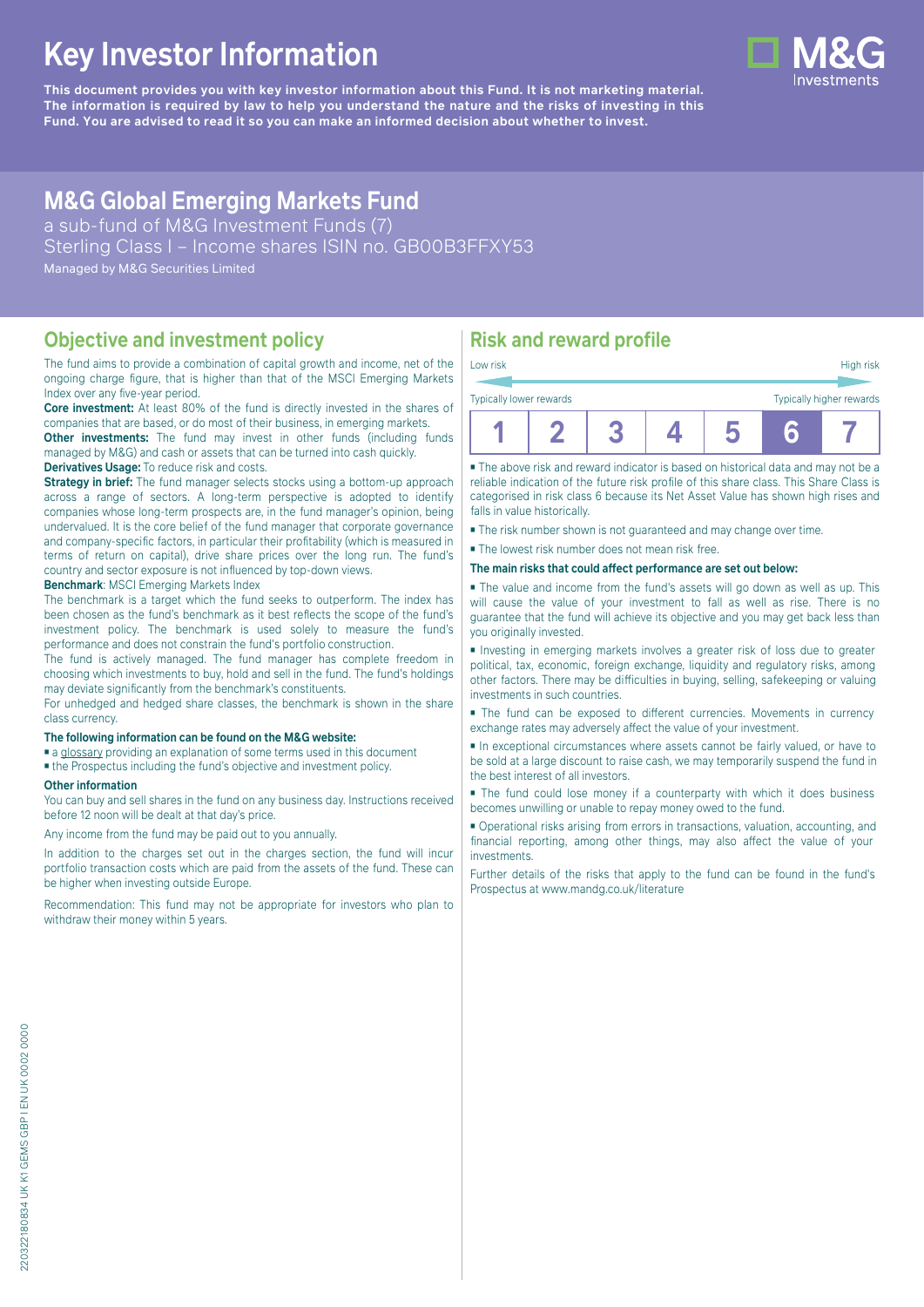# **Key Investor Information**

**This document provides you with key investor information about this Fund. It is not marketing material.** The information is required by law to help you understand the nature and the risks of investing in this **Fund. You are advised to read it so you can make an informed decision about whether to invest.**

## **M&G Global Emerging Markets Fund**

a sub-fund of M&G Investment Funds (7) Sterling Class I – Income shares ISIN no. GB00B3FFXY53 Managed by M&G Securities Limited

#### **Objective and investment policy**

The fund aims to provide a combination of capital growth and income, net of the ongoing charge figure, that is higher than that of the MSCI Emerging Markets Index over any five-year period.

**Core investment:** At least 80% of the fund is directly invested in the shares of companies that are based, or do most of their business, in emerging markets.

**Other investments:** The fund may invest in other funds (including funds managed by M&G) and cash or assets that can be turned into cash quickly. **Derivatives Usage:** To reduce risk and costs.

**Strategy in brief:** The fund manager selects stocks using a bottom-up approach across a range of sectors. A long-term perspective is adopted to identify companies whose long-term prospects are, in the fund manager's opinion, being undervalued. It is the core belief of the fund manager that corporate governance and company-specific factors, in particular their profitability (which is measured in terms of return on capital), drive share prices over the long run. The fund's country and sector exposure is not influenced by top-down views.

#### **Benchmark**: MSCI Emerging Markets Index

The benchmark is a target which the fund seeks to outperform. The index has been chosen as the fund's benchmark as it best reflects the scope of the fund's investment policy. The benchmark is used solely to measure the fund's performance and does not constrain the fund's portfolio construction.

The fund is actively managed. The fund manager has complete freedom in choosing which investments to buy, hold and sell in the fund. The fund's holdings may deviate significantly from the benchmark's constituents.

For unhedged and hedged share classes, the benchmark is shown in the share class currency.

#### **The following information can be found on the M&G website:**

■ [a glossary](https://docs.mandg.com/docs/glossary-master-en.pdf) providing an explanation of some terms used in this document

■ the Prospectus including the fund's objective and investment policy.

#### **Other information**

You can buy and sell shares in the fund on any business day. Instructions received before 12 noon will be dealt at that day's price.

Any income from the fund may be paid out to you annually.

In addition to the charges set out in the charges section, the fund will incur portfolio transaction costs which are paid from the assets of the fund. These can be higher when investing outside Europe.

Recommendation: This fund may not be appropriate for investors who plan to withdraw their money within 5 years.

### **Risk and reward profile**

| Low risk                                            |  |  |  |  |  | High risk |
|-----------------------------------------------------|--|--|--|--|--|-----------|
| Typically higher rewards<br>Typically lower rewards |  |  |  |  |  |           |
|                                                     |  |  |  |  |  |           |

■ The above risk and reward indicator is based on historical data and may not be a reliable indication of the future risk profile of this share class. This Share Class is categorised in risk class 6 because its Net Asset Value has shown high rises and falls in value historically.

■ The risk number shown is not guaranteed and may change over time.

■ The lowest risk number does not mean risk free.

#### **The main risks that could affect performance are set out below:**

■ The value and income from the fund's assets will go down as well as up. This will cause the value of your investment to fall as well as rise. There is no guarantee that the fund will achieve its objective and you may get back less than you originally invested.

■ Investing in emerging markets involves a greater risk of loss due to greater political, tax, economic, foreign exchange, liquidity and regulatory risks, among other factors. There may be difficulties in buying, selling, safekeeping or valuing investments in such countries.

■ The fund can be exposed to different currencies. Movements in currency exchange rates may adversely affect the value of your investment.

■ In exceptional circumstances where assets cannot be fairly valued, or have to be sold at a large discount to raise cash, we may temporarily suspend the fund in the best interest of all investors.

■ The fund could lose money if a counterparty with which it does business becomes unwilling or unable to repay money owed to the fund.

■ Operational risks arising from errors in transactions, valuation, accounting, and financial reporting, among other things, may also affect the value of your investments.

Further details of the risks that apply to the fund can be found in the fund's Prospectus at [www.mandg.co.uk/literature](http://www.mandg.co.uk/literature)